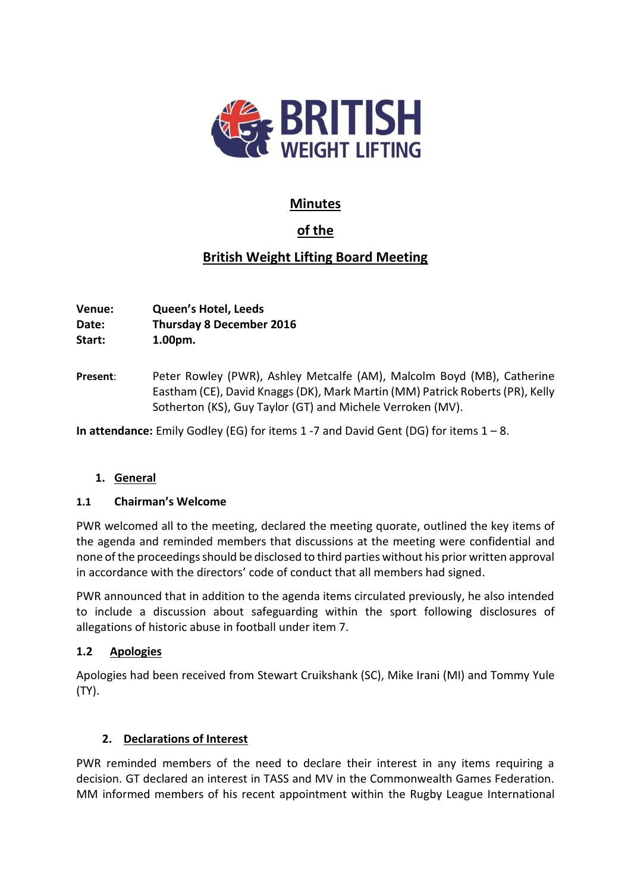

# **Minutes**

# **of the**

# **British Weight Lifting Board Meeting**

**Venue: Queen's Hotel, Leeds Date: Thursday 8 December 2016 Start: 1.00pm.**

**Present**: Peter Rowley (PWR), Ashley Metcalfe (AM), Malcolm Boyd (MB), Catherine Eastham (CE), David Knaggs(DK), Mark Martin (MM) Patrick Roberts (PR), Kelly Sotherton (KS), Guy Taylor (GT) and Michele Verroken (MV).

**In attendance:** Emily Godley (EG) for items 1 -7 and David Gent (DG) for items 1 – 8.

### **1. General**

### **1.1 Chairman's Welcome**

PWR welcomed all to the meeting, declared the meeting quorate, outlined the key items of the agenda and reminded members that discussions at the meeting were confidential and none of the proceedings should be disclosed to third parties without his prior written approval in accordance with the directors' code of conduct that all members had signed.

PWR announced that in addition to the agenda items circulated previously, he also intended to include a discussion about safeguarding within the sport following disclosures of allegations of historic abuse in football under item 7.

### **1.2 Apologies**

Apologies had been received from Stewart Cruikshank (SC), Mike Irani (MI) and Tommy Yule (TY).

## **2. Declarations of Interest**

PWR reminded members of the need to declare their interest in any items requiring a decision. GT declared an interest in TASS and MV in the Commonwealth Games Federation. MM informed members of his recent appointment within the Rugby League International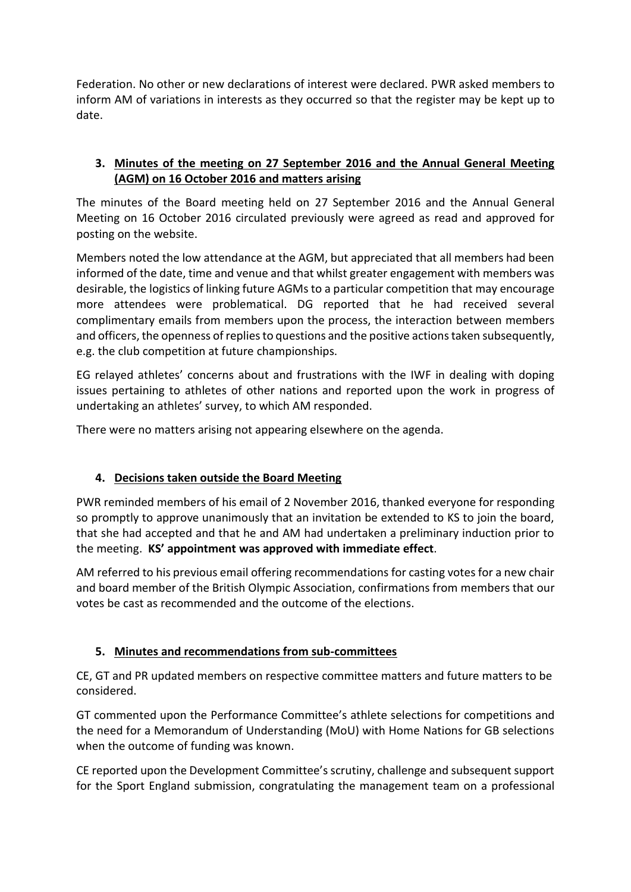Federation. No other or new declarations of interest were declared. PWR asked members to inform AM of variations in interests as they occurred so that the register may be kept up to date.

## **3. Minutes of the meeting on 27 September 2016 and the Annual General Meeting (AGM) on 16 October 2016 and matters arising**

The minutes of the Board meeting held on 27 September 2016 and the Annual General Meeting on 16 October 2016 circulated previously were agreed as read and approved for posting on the website.

Members noted the low attendance at the AGM, but appreciated that all members had been informed of the date, time and venue and that whilst greater engagement with members was desirable, the logistics of linking future AGMs to a particular competition that may encourage more attendees were problematical. DG reported that he had received several complimentary emails from members upon the process, the interaction between members and officers, the openness of replies to questions and the positive actions taken subsequently, e.g. the club competition at future championships.

EG relayed athletes' concerns about and frustrations with the IWF in dealing with doping issues pertaining to athletes of other nations and reported upon the work in progress of undertaking an athletes' survey, to which AM responded.

There were no matters arising not appearing elsewhere on the agenda.

## **4. Decisions taken outside the Board Meeting**

PWR reminded members of his email of 2 November 2016, thanked everyone for responding so promptly to approve unanimously that an invitation be extended to KS to join the board, that she had accepted and that he and AM had undertaken a preliminary induction prior to the meeting. **KS' appointment was approved with immediate effect**.

AM referred to his previous email offering recommendations for casting votes for a new chair and board member of the British Olympic Association, confirmations from members that our votes be cast as recommended and the outcome of the elections.

## **5. Minutes and recommendations from sub-committees**

CE, GT and PR updated members on respective committee matters and future matters to be considered.

GT commented upon the Performance Committee's athlete selections for competitions and the need for a Memorandum of Understanding (MoU) with Home Nations for GB selections when the outcome of funding was known.

CE reported upon the Development Committee's scrutiny, challenge and subsequent support for the Sport England submission, congratulating the management team on a professional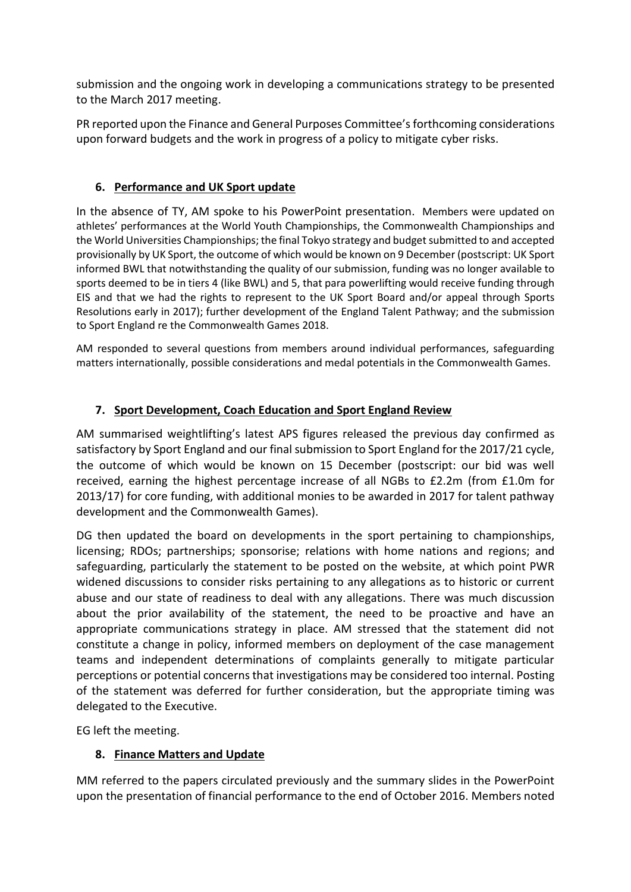submission and the ongoing work in developing a communications strategy to be presented to the March 2017 meeting.

PR reported upon the Finance and General Purposes Committee's forthcoming considerations upon forward budgets and the work in progress of a policy to mitigate cyber risks.

## **6. Performance and UK Sport update**

In the absence of TY, AM spoke to his PowerPoint presentation. Members were updated on athletes' performances at the World Youth Championships, the Commonwealth Championships and the World Universities Championships; the final Tokyo strategy and budget submitted to and accepted provisionally by UK Sport, the outcome of which would be known on 9 December (postscript: UK Sport informed BWL that notwithstanding the quality of our submission, funding was no longer available to sports deemed to be in tiers 4 (like BWL) and 5, that para powerlifting would receive funding through EIS and that we had the rights to represent to the UK Sport Board and/or appeal through Sports Resolutions early in 2017); further development of the England Talent Pathway; and the submission to Sport England re the Commonwealth Games 2018.

AM responded to several questions from members around individual performances, safeguarding matters internationally, possible considerations and medal potentials in the Commonwealth Games.

## **7. Sport Development, Coach Education and Sport England Review**

AM summarised weightlifting's latest APS figures released the previous day confirmed as satisfactory by Sport England and our final submission to Sport England for the 2017/21 cycle, the outcome of which would be known on 15 December (postscript: our bid was well received, earning the highest percentage increase of all NGBs to £2.2m (from £1.0m for 2013/17) for core funding, with additional monies to be awarded in 2017 for talent pathway development and the Commonwealth Games).

DG then updated the board on developments in the sport pertaining to championships, licensing; RDOs; partnerships; sponsorise; relations with home nations and regions; and safeguarding, particularly the statement to be posted on the website, at which point PWR widened discussions to consider risks pertaining to any allegations as to historic or current abuse and our state of readiness to deal with any allegations. There was much discussion about the prior availability of the statement, the need to be proactive and have an appropriate communications strategy in place. AM stressed that the statement did not constitute a change in policy, informed members on deployment of the case management teams and independent determinations of complaints generally to mitigate particular perceptions or potential concerns that investigations may be considered too internal. Posting of the statement was deferred for further consideration, but the appropriate timing was delegated to the Executive.

EG left the meeting.

### **8. Finance Matters and Update**

MM referred to the papers circulated previously and the summary slides in the PowerPoint upon the presentation of financial performance to the end of October 2016. Members noted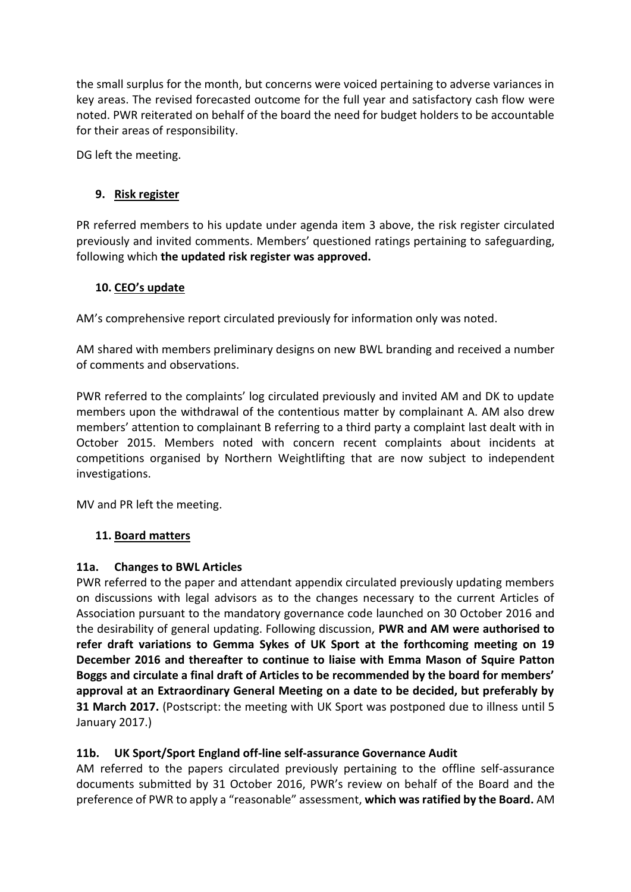the small surplus for the month, but concerns were voiced pertaining to adverse variances in key areas. The revised forecasted outcome for the full year and satisfactory cash flow were noted. PWR reiterated on behalf of the board the need for budget holders to be accountable for their areas of responsibility.

DG left the meeting.

## **9. Risk register**

PR referred members to his update under agenda item 3 above, the risk register circulated previously and invited comments. Members' questioned ratings pertaining to safeguarding, following which **the updated risk register was approved.**

### **10. CEO's update**

AM's comprehensive report circulated previously for information only was noted.

AM shared with members preliminary designs on new BWL branding and received a number of comments and observations.

PWR referred to the complaints' log circulated previously and invited AM and DK to update members upon the withdrawal of the contentious matter by complainant A. AM also drew members' attention to complainant B referring to a third party a complaint last dealt with in October 2015. Members noted with concern recent complaints about incidents at competitions organised by Northern Weightlifting that are now subject to independent investigations.

MV and PR left the meeting.

### **11. Board matters**

### **11a. Changes to BWL Articles**

PWR referred to the paper and attendant appendix circulated previously updating members on discussions with legal advisors as to the changes necessary to the current Articles of Association pursuant to the mandatory governance code launched on 30 October 2016 and the desirability of general updating. Following discussion, **PWR and AM were authorised to refer draft variations to Gemma Sykes of UK Sport at the forthcoming meeting on 19 December 2016 and thereafter to continue to liaise with Emma Mason of Squire Patton Boggs and circulate a final draft of Articles to be recommended by the board for members' approval at an Extraordinary General Meeting on a date to be decided, but preferably by 31 March 2017.** (Postscript: the meeting with UK Sport was postponed due to illness until 5 January 2017.)

### **11b. UK Sport/Sport England off-line self-assurance Governance Audit**

AM referred to the papers circulated previously pertaining to the offline self-assurance documents submitted by 31 October 2016, PWR's review on behalf of the Board and the preference of PWR to apply a "reasonable" assessment, **which was ratified by the Board.** AM